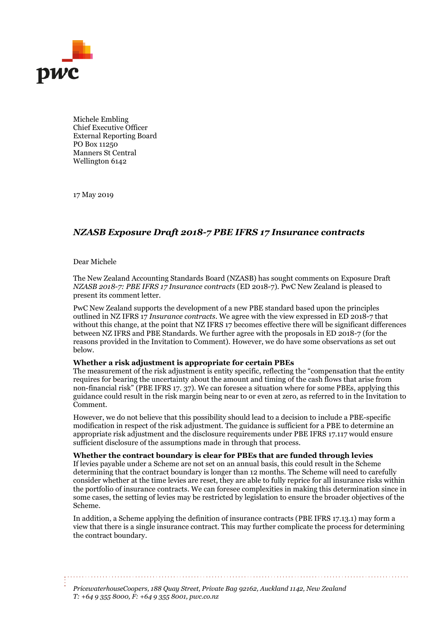

Michele Embling Chief Executive Officer External Reporting Board PO Box 11250 Manners St Central Wellington 6142

17 May 2019

## *NZASB Exposure Draft 2018-7 PBE IFRS 17 Insurance contracts*

## Dear Michele

The New Zealand Accounting Standards Board (NZASB) has sought comments on Exposure Draft *NZASB 2018-7: PBE IFRS 17 Insurance contracts* (ED 2018-7). PwC New Zealand is pleased to present its comment letter.

PwC New Zealand supports the development of a new PBE standard based upon the principles outlined in NZ IFRS 17 *Insurance contracts*. We agree with the view expressed in ED 2018-7 that without this change, at the point that NZ IFRS 17 becomes effective there will be significant differences between NZ IFRS and PBE Standards. We further agree with the proposals in ED 2018-7 (for the reasons provided in the Invitation to Comment). However, we do have some observations as set out below.

## **Whether a risk adjustment is appropriate for certain PBEs**

The measurement of the risk adjustment is entity specific, reflecting the "compensation that the entity requires for bearing the uncertainty about the amount and timing of the cash flows that arise from non-financial risk" (PBE IFRS 17. 37). We can foresee a situation where for some PBEs, applying this guidance could result in the risk margin being near to or even at zero, as referred to in the Invitation to Comment.

However, we do not believe that this possibility should lead to a decision to include a PBE-specific modification in respect of the risk adjustment. The guidance is sufficient for a PBE to determine an appropriate risk adjustment and the disclosure requirements under PBE IFRS 17.117 would ensure sufficient disclosure of the assumptions made in through that process.

**Whether the contract boundary is clear for PBEs that are funded through levies**

If levies payable under a Scheme are not set on an annual basis, this could result in the Scheme determining that the contract boundary is longer than 12 months. The Scheme will need to carefully consider whether at the time levies are reset, they are able to fully reprice for all insurance risks within the portfolio of insurance contracts. We can foresee complexities in making this determination since in some cases, the setting of levies may be restricted by legislation to ensure the broader objectives of the Scheme.

In addition, a Scheme applying the definition of insurance contracts (PBE IFRS 17.13.1) may form a view that there is a single insurance contract. This may further complicate the process for determining the contract boundary.

*PricewaterhouseCoopers, 188 Quay Street, Private Bag 92162, Auckland 1142, New Zealand T: +64 9 355 8000, F: +64 9 355 8001, pwc.co.nz*